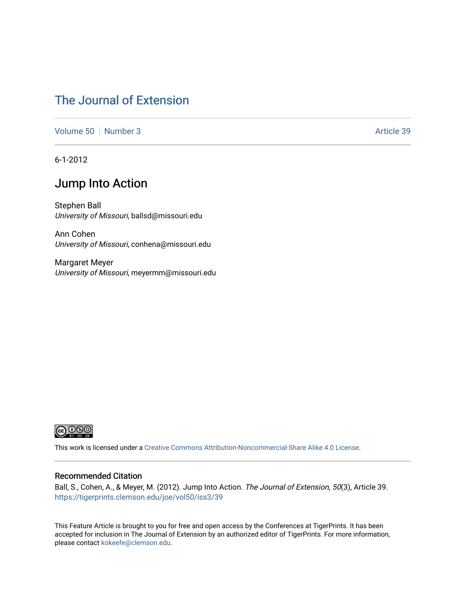# [The Journal of Extension](https://tigerprints.clemson.edu/joe)

[Volume 50](https://tigerprints.clemson.edu/joe/vol50) [Number 3](https://tigerprints.clemson.edu/joe/vol50/iss3) Article 39

6-1-2012

# Jump Into Action

Stephen Ball University of Missouri, ballsd@missouri.edu

Ann Cohen University of Missouri, conhena@missouri.edu

Margaret Meyer University of Missouri, meyermm@missouri.edu



This work is licensed under a [Creative Commons Attribution-Noncommercial-Share Alike 4.0 License.](https://creativecommons.org/licenses/by-nc-sa/4.0/)

## Recommended Citation

Ball, S., Cohen, A., & Meyer, M. (2012). Jump Into Action. The Journal of Extension, 50(3), Article 39. <https://tigerprints.clemson.edu/joe/vol50/iss3/39>

This Feature Article is brought to you for free and open access by the Conferences at TigerPrints. It has been accepted for inclusion in The Journal of Extension by an authorized editor of TigerPrints. For more information, please contact [kokeefe@clemson.edu](mailto:kokeefe@clemson.edu).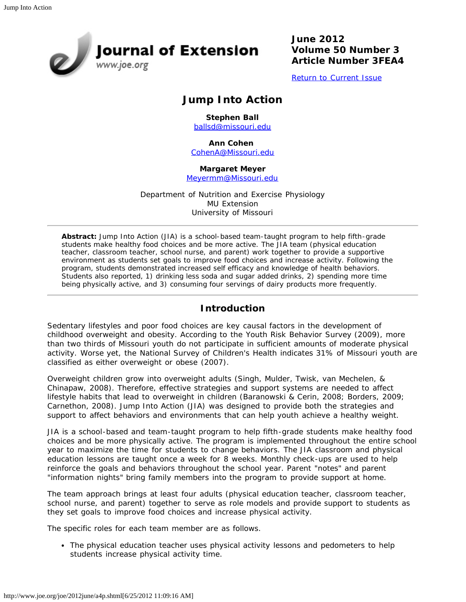**Sournal of Extension** 

**June 2012 Volume 50 Number 3 Article Number 3FEA4**

[Return to Current Issue](http://www.joe.org/joe/2012june/)

## **Jump Into Action**

**Stephen Ball** [ballsd@missouri.edu](mailto:ballsd@missouri.edu)

**Ann Cohen** 

[CohenA@Missouri.edu](mailto:CohenA@Missouri.edu)

## **Margaret Meyer**

[Meyermm@Missouri.edu](mailto:Meyermm@Missouri.edu)

Department of Nutrition and Exercise Physiology MU Extension University of Missouri

*Abstract: Jump Into Action (JIA) is a school-based team-taught program to help fifth-grade students make healthy food choices and be more active. The JIA team (physical education teacher, classroom teacher, school nurse, and parent) work together to provide a supportive environment as students set goals to improve food choices and increase activity. Following the program, students demonstrated increased self efficacy and knowledge of health behaviors. Students also reported, 1) drinking less soda and sugar added drinks, 2) spending more time being physically active, and 3) consuming four servings of dairy products more frequently.*

## **Introduction**

Sedentary lifestyles and poor food choices are key causal factors in the development of childhood overweight and obesity. According to the Youth Risk Behavior Survey (2009), more than two thirds of Missouri youth do not participate in sufficient amounts of moderate physical activity. Worse yet, the National Survey of Children's Health indicates 31% of Missouri youth are classified as either overweight or obese (2007).

Overweight children grow into overweight adults (Singh, Mulder, Twisk, van Mechelen, & Chinapaw, 2008). Therefore, effective strategies and support systems are needed to affect lifestyle habits that lead to overweight in children (Baranowski & Cerin, 2008; Borders, 2009; Carnethon, 2008). Jump Into Action (JIA) was designed to provide both the strategies and support to affect behaviors and environments that can help youth achieve a healthy weight.

JIA is a school-based and team-taught program to help fifth-grade students make healthy food choices and be more physically active. The program is implemented throughout the entire school year to maximize the time for students to change behaviors. The JIA classroom and physical education lessons are taught once a week for 8 weeks. Monthly check-ups are used to help reinforce the goals and behaviors throughout the school year. Parent "notes" and parent "information nights" bring family members into the program to provide support at home.

The team approach brings at least four adults (physical education teacher, classroom teacher, school nurse, and parent) together to serve as role models and provide support to students as they set goals to improve food choices and increase physical activity.

The specific roles for each team member are as follows.

• The physical education teacher uses physical activity lessons and pedometers to help students increase physical activity time.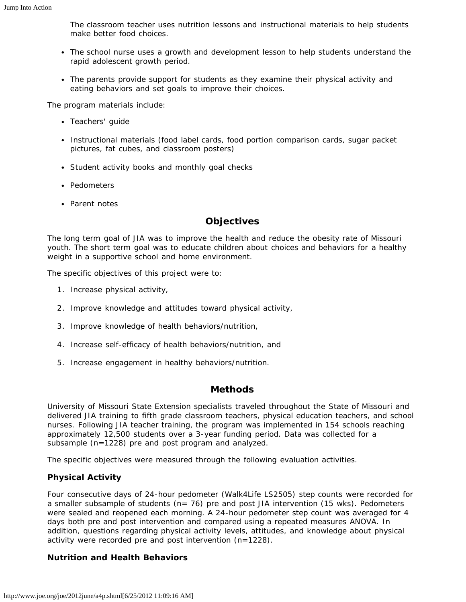The classroom teacher uses nutrition lessons and instructional materials to help students make better food choices.

- The school nurse uses a growth and development lesson to help students understand the rapid adolescent growth period.
- The parents provide support for students as they examine their physical activity and eating behaviors and set goals to improve their choices.

The program materials include:

- Teachers' guide
- Instructional materials (food label cards, food portion comparison cards, sugar packet pictures, fat cubes, and classroom posters)
- Student activity books and monthly goal checks
- Pedometers
- Parent notes

## **Objectives**

The long term goal of JIA was to improve the health and reduce the obesity rate of Missouri youth. The short term goal was to educate children about choices and behaviors for a healthy weight in a supportive school and home environment.

The specific objectives of this project were to:

- 1. Increase physical activity,
- 2. Improve knowledge and attitudes toward physical activity,
- 3. Improve knowledge of health behaviors/nutrition,
- 4. Increase self-efficacy of health behaviors/nutrition, and
- 5. Increase engagement in healthy behaviors/nutrition.

## **Methods**

University of Missouri State Extension specialists traveled throughout the State of Missouri and delivered JIA training to fifth grade classroom teachers, physical education teachers, and school nurses. Following JIA teacher training, the program was implemented in 154 schools reaching approximately 12,500 students over a 3-year funding period. Data was collected for a subsample (n=1228) pre and post program and analyzed.

The specific objectives were measured through the following evaluation activities.

## **Physical Activity**

Four consecutive days of 24-hour pedometer (Walk4Life LS2505) step counts were recorded for a smaller subsample of students (n= 76) pre and post JIA intervention (15 wks). Pedometers were sealed and reopened each morning. A 24-hour pedometer step count was averaged for 4 days both pre and post intervention and compared using a repeated measures ANOVA. In addition, questions regarding physical activity levels, attitudes, and knowledge about physical activity were recorded pre and post intervention (n=1228).

## **Nutrition and Health Behaviors**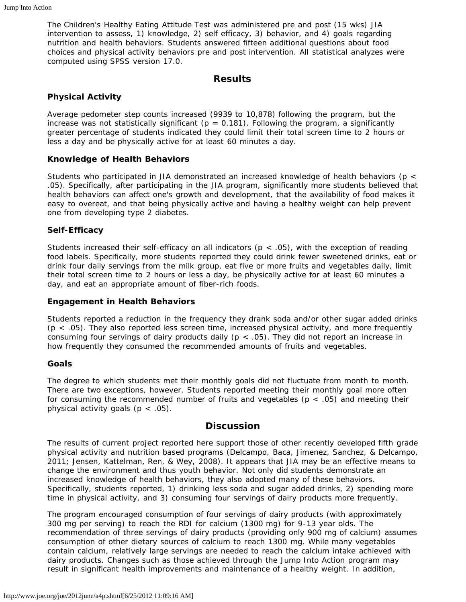The Children's Healthy Eating Attitude Test was administered pre and post (15 wks) JIA intervention to assess, 1) knowledge, 2) self efficacy, 3) behavior, and 4) goals regarding nutrition and health behaviors. Students answered fifteen additional questions about food choices and physical activity behaviors pre and post intervention. All statistical analyzes were computed using SPSS version 17.0.

## **Results**

## **Physical Activity**

Average pedometer step counts increased (9939 to 10,878) following the program, but the increase was not statistically significant ( $p = 0.181$ ). Following the program, a significantly greater percentage of students indicated they could limit their total screen time to 2 hours or less a day and be physically active for at least 60 minutes a day.

## **Knowledge of Health Behaviors**

Students who participated in JIA demonstrated an increased knowledge of health behaviors (p < .05). Specifically, after participating in the JIA program, significantly more students believed that health behaviors can affect one's growth and development, that the availability of food makes it easy to overeat, and that being physically active and having a healthy weight can help prevent one from developing type 2 diabetes.

## **Self-Efficacy**

Students increased their self-efficacy on all indicators ( $p < .05$ ), with the exception of reading food labels. Specifically, more students reported they could drink fewer sweetened drinks, eat or drink four daily servings from the milk group, eat five or more fruits and vegetables daily, limit their total screen time to 2 hours or less a day, be physically active for at least 60 minutes a day, and eat an appropriate amount of fiber-rich foods.

## **Engagement in Health Behaviors**

Students reported a reduction in the frequency they drank soda and/or other sugar added drinks  $(p < .05)$ . They also reported less screen time, increased physical activity, and more frequently consuming four servings of dairy products daily ( $p < .05$ ). They did not report an increase in how frequently they consumed the recommended amounts of fruits and vegetables.

## **Goals**

The degree to which students met their monthly goals did not fluctuate from month to month. There are two exceptions, however. Students reported meeting their monthly goal more often for consuming the recommended number of fruits and vegetables *(*p < .05) and meeting their physical activity goals ( $p < .05$ ).

## **Discussion**

The results of current project reported here support those of other recently developed fifth grade physical activity and nutrition based programs (Delcampo, Baca, Jimenez, Sanchez, & Delcampo, 2011; Jensen, Kattelman, Ren, & Wey, 2008). It appears that JIA may be an effective means to change the environment and thus youth behavior. Not only did students demonstrate an increased knowledge of health behaviors, they also adopted many of these behaviors. Specifically, students reported, 1) drinking less soda and sugar added drinks, 2) spending more time in physical activity, and 3) consuming four servings of dairy products more frequently.

The program encouraged consumption of four servings of dairy products (with approximately 300 mg per serving) to reach the RDI for calcium (1300 mg) for 9-13 year olds. The recommendation of three servings of dairy products (providing only 900 mg of calcium) assumes consumption of other dietary sources of calcium to reach 1300 mg. While many vegetables contain calcium, relatively large servings are needed to reach the calcium intake achieved with dairy products. Changes such as those achieved through the Jump Into Action program may result in significant health improvements and maintenance of a healthy weight. In addition,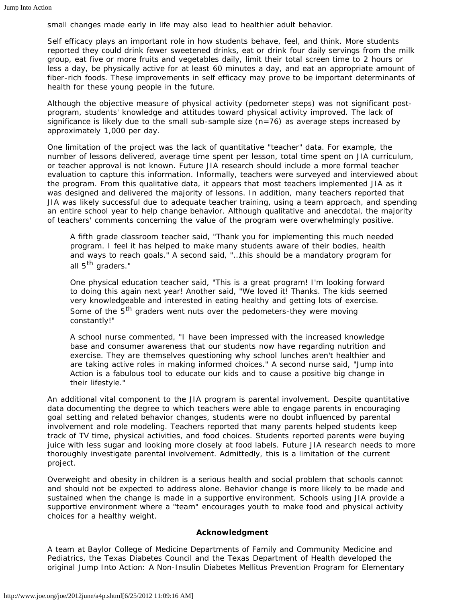small changes made early in life may also lead to healthier adult behavior.

Self efficacy plays an important role in how students behave, feel, and think. More students reported they could drink fewer sweetened drinks, eat or drink four daily servings from the milk group, eat five or more fruits and vegetables daily, limit their total screen time to 2 hours or less a day, be physically active for at least 60 minutes a day, and eat an appropriate amount of fiber-rich foods. These improvements in self efficacy may prove to be important determinants of health for these young people in the future.

Although the objective measure of physical activity (pedometer steps) was not significant postprogram, students' knowledge and attitudes toward physical activity improved. The lack of significance is likely due to the small sub-sample size  $(n=76)$  as average steps increased by approximately 1,000 per day.

One limitation of the project was the lack of quantitative "teacher" data. For example, the number of lessons delivered, average time spent per lesson, total time spent on JIA curriculum, or teacher approval is not known. Future JIA research should include a more formal teacher evaluation to capture this information. Informally, teachers were surveyed and interviewed about the program. From this qualitative data, it appears that most teachers implemented JIA as it was designed and delivered the majority of lessons. In addition, many teachers reported that JIA was likely successful due to adequate teacher training, using a team approach, and spending an entire school year to help change behavior. Although qualitative and anecdotal, the majority of teachers' comments concerning the value of the program were overwhelmingly positive.

A fifth grade classroom teacher said, "Thank you for implementing this much needed program. I feel it has helped to make many students aware of their bodies, health and ways to reach goals." A second said, "…this should be a mandatory program for all 5<sup>th</sup> graders."

One physical education teacher said, "This is a great program! I'm looking forward to doing this again next year! Another said, "We loved it! Thanks. The kids seemed very knowledgeable and interested in eating healthy and getting lots of exercise. Some of the 5<sup>th</sup> graders went nuts over the pedometers-they were moving constantly!"

A school nurse commented, "I have been impressed with the increased knowledge base and consumer awareness that our students now have regarding nutrition and exercise. They are themselves questioning why school lunches aren't healthier and are taking active roles in making informed choices." A second nurse said, "Jump into Action is a fabulous tool to educate our kids and to cause a positive big change in their lifestyle."

An additional vital component to the JIA program is parental involvement. Despite quantitative data documenting the degree to which teachers were able to engage parents in encouraging goal setting and related behavior changes, students were no doubt influenced by parental involvement and role modeling. Teachers reported that many parents helped students keep track of TV time, physical activities, and food choices. Students reported parents were buying juice with less sugar and looking more closely at food labels. Future JIA research needs to more thoroughly investigate parental involvement. Admittedly, this is a limitation of the current project.

Overweight and obesity in children is a serious health and social problem that schools cannot and should not be expected to address alone. Behavior change is more likely to be made and sustained when the change is made in a supportive environment. Schools using JIA provide a supportive environment where a "team" encourages youth to make food and physical activity choices for a healthy weight.

#### **Acknowledgment**

A team at Baylor College of Medicine Departments of Family and Community Medicine and Pediatrics, the Texas Diabetes Council and the Texas Department of Health developed the original Jump Into Action: A Non-Insulin Diabetes Mellitus Prevention Program for Elementary